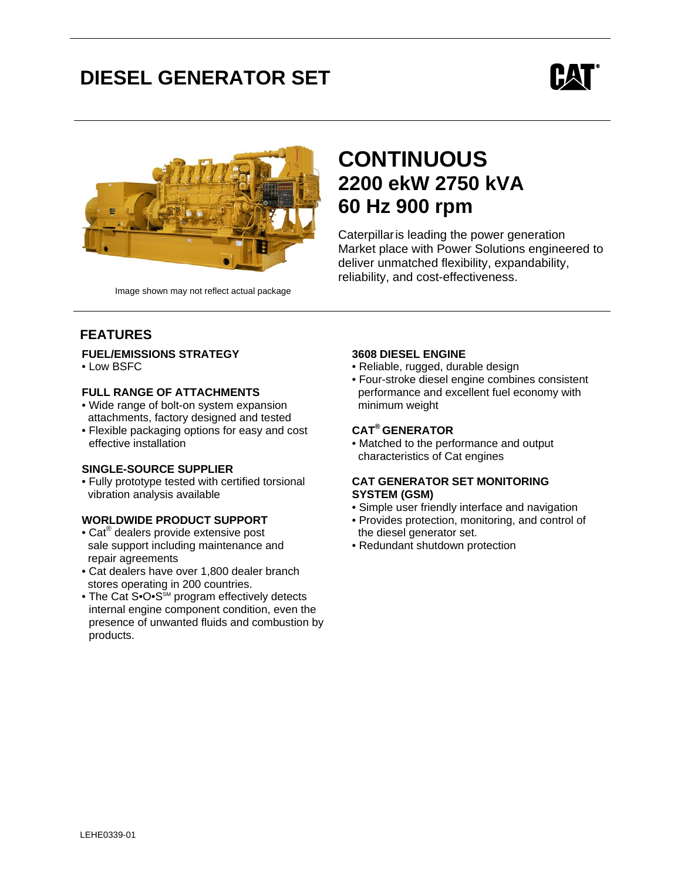# **DIESEL GENERATOR SET**





Image shown may not reflect actual package

# **CONTINUOUS 2200 ekW 2750 kVA 60 Hz 900 rpm**

Caterpillaris leading the power generation Market place with Power Solutions engineered to deliver unmatched flexibility, expandability, reliability, and cost-effectiveness.

# **FEATURES**

#### **FUEL/EMISSIONS STRATEGY**

• Low BSFC

#### **FULL RANGE OF ATTACHMENTS**

- Wide range of bolt-on system expansion attachments, factory designed and tested
- Flexible packaging options for easy and cost effective installation

#### **SINGLE-SOURCE SUPPLIER**

• Fully prototype tested with certified torsional vibration analysis available

### **WORLDWIDE PRODUCT SUPPORT**

- Cat<sup>®</sup> dealers provide extensive post sale support including maintenance and repair agreements
- Cat dealers have over 1,800 dealer branch stores operating in 200 countries.
- The Cat S• $O \cdot S^{\text{SM}}$  program effectively detects internal engine component condition, even the presence of unwanted fluids and combustion by products.

#### **3608 DIESEL ENGINE**

- Reliable, rugged, durable design
- Four-stroke diesel engine combines consistent performance and excellent fuel economy with minimum weight

### **CAT® GENERATOR**

• Matched to the performance and output characteristics of Cat engines

#### **CAT GENERATOR SET MONITORING SYSTEM (GSM)**

- Simple user friendly interface and navigation
- Provides protection, monitoring, and control of the diesel generator set.
- Redundant shutdown protection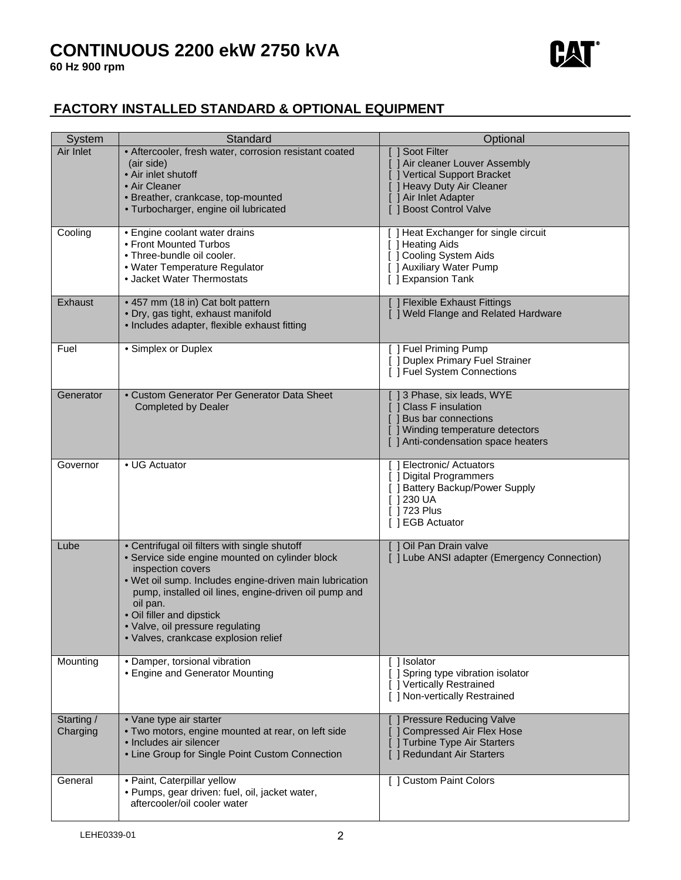# **CONTINUOUS 2200 ekW 2750 kVA**



# **FACTORY INSTALLED STANDARD & OPTIONAL EQUIPMENT**

| <b>System</b>          | Standard                                                                                                                                                                                                                                                                                                                                                       | Optional                                                                                                                                                       |
|------------------------|----------------------------------------------------------------------------------------------------------------------------------------------------------------------------------------------------------------------------------------------------------------------------------------------------------------------------------------------------------------|----------------------------------------------------------------------------------------------------------------------------------------------------------------|
| Air Inlet              | • Aftercooler, fresh water, corrosion resistant coated<br>(air side)<br>• Air inlet shutoff<br>• Air Cleaner<br>· Breather, crankcase, top-mounted<br>· Turbocharger, engine oil lubricated                                                                                                                                                                    | Soot Filter<br>[ ] Air cleaner Louver Assembly<br>J Vertical Support Bracket<br>[ ] Heavy Duty Air Cleaner<br>[ ] Air Inlet Adapter<br>[ ] Boost Control Valve |
| Cooling                | • Engine coolant water drains<br>• Front Mounted Turbos<br>• Three-bundle oil cooler.<br>• Water Temperature Regulator<br>• Jacket Water Thermostats                                                                                                                                                                                                           | [ ] Heat Exchanger for single circuit<br>[ ] Heating Aids<br>[ ] Cooling System Aids<br>[ ] Auxiliary Water Pump<br>[ ] Expansion Tank                         |
| Exhaust                | • 457 mm (18 in) Cat bolt pattern<br>· Dry, gas tight, exhaust manifold<br>• Includes adapter, flexible exhaust fitting                                                                                                                                                                                                                                        | [ ] Flexible Exhaust Fittings<br>[ ] Weld Flange and Related Hardware                                                                                          |
| Fuel                   | • Simplex or Duplex                                                                                                                                                                                                                                                                                                                                            | [ ] Fuel Priming Pump<br>[ ] Duplex Primary Fuel Strainer<br>[ ] Fuel System Connections                                                                       |
| Generator              | • Custom Generator Per Generator Data Sheet<br><b>Completed by Dealer</b>                                                                                                                                                                                                                                                                                      | [ ] 3 Phase, six leads, WYE<br>[ ] Class F insulation<br>[ ] Bus bar connections<br>[ ] Winding temperature detectors<br>[ ] Anti-condensation space heaters   |
| Governor               | • UG Actuator                                                                                                                                                                                                                                                                                                                                                  | [ ] Electronic/ Actuators<br>[ ] Digital Programmers<br>[ ] Battery Backup/Power Supply<br>$\lceil$ 1230 UA<br>[ 1723 Plus<br>[ ] EGB Actuator                 |
| Lube                   | • Centrifugal oil filters with single shutoff<br>· Service side engine mounted on cylinder block<br>inspection covers<br>. Wet oil sump. Includes engine-driven main lubrication<br>pump, installed oil lines, engine-driven oil pump and<br>oil pan.<br>• Oil filler and dipstick<br>· Valve, oil pressure regulating<br>· Valves, crankcase explosion relief | Oil Pan Drain valve<br>Γl<br>[ ] Lube ANSI adapter (Emergency Connection)                                                                                      |
| Mounting               | • Damper, torsional vibration<br>• Engine and Generator Mounting                                                                                                                                                                                                                                                                                               | [] Isolator<br>Spring type vibration isolator<br>[ ] Vertically Restrained<br>[ ] Non-vertically Restrained                                                    |
| Starting /<br>Charging | • Vane type air starter<br>. Two motors, engine mounted at rear, on left side<br>· Includes air silencer<br>• Line Group for Single Point Custom Connection                                                                                                                                                                                                    | <b>Pressure Reducing Valve</b><br>Compressed Air Flex Hose<br><b>Turbine Type Air Starters</b><br><b>Redundant Air Starters</b>                                |
| General                | · Paint, Caterpillar yellow<br>· Pumps, gear driven: fuel, oil, jacket water,<br>aftercooler/oil cooler water                                                                                                                                                                                                                                                  | [ ] Custom Paint Colors                                                                                                                                        |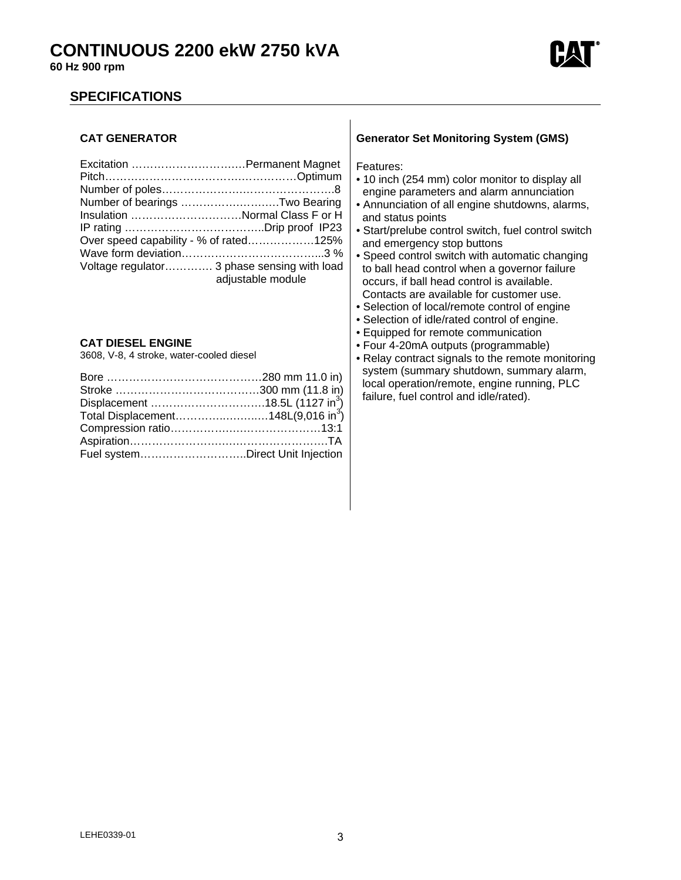

## **SPECIFICATIONS**

### **CAT GENERATOR**

| Number of bearings Two Bearing              |                   |
|---------------------------------------------|-------------------|
| Insulation Normal Class F or H              |                   |
|                                             |                   |
| Over speed capability - % of rated125%      |                   |
|                                             |                   |
| Voltage regulator 3 phase sensing with load | adjustable module |

### **CAT DIESEL ENGINE**

3608, V-8, 4 stroke, water-cooled diesel

| Total Displacement148L(9,016 in <sup>3</sup> ) |  |
|------------------------------------------------|--|
|                                                |  |
|                                                |  |
| Fuel systemDirect Unit Injection               |  |

### **Generator Set Monitoring System (GMS)**

Features:

- 10 inch (254 mm) color monitor to display all engine parameters and alarm annunciation
- Annunciation of all engine shutdowns, alarms, and status points
- Start/prelube control switch, fuel control switch and emergency stop buttons
- Speed control switch with automatic changing to ball head control when a governor failure occurs, if ball head control is available. Contacts are available for customer use.
- Selection of local/remote control of engine
- Selection of idle/rated control of engine.
- Equipped for remote communication
- Four 4-20mA outputs (programmable)
- Relay contract signals to the remote monitoring system (summary shutdown, summary alarm, local operation/remote, engine running, PLC failure, fuel control and idle/rated).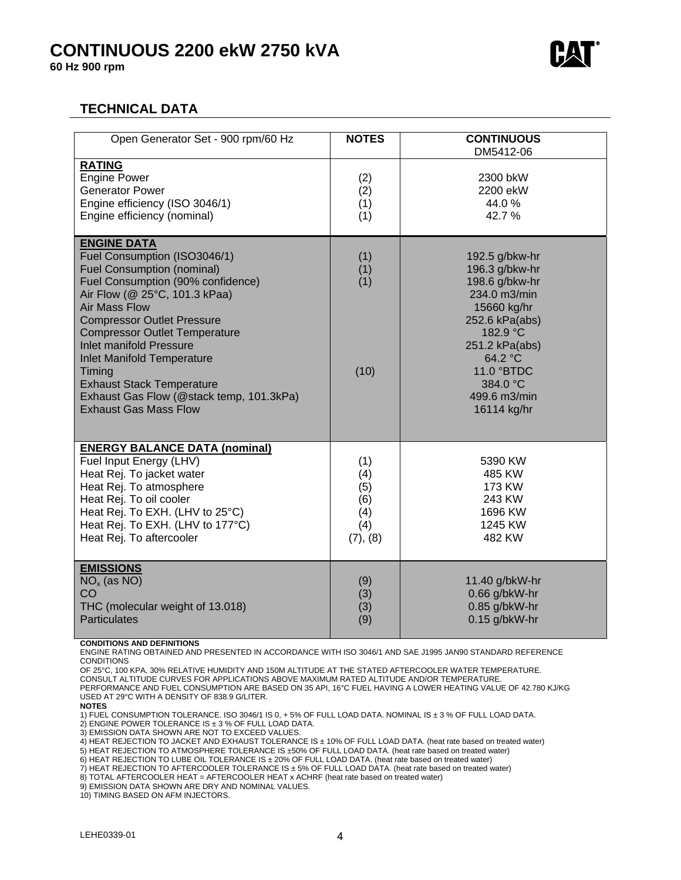# **CONTINUOUS 2200 ekW 2750 kVA**

**60 Hz 900 rpm** 



# **TECHNICAL DATA**

| Open Generator Set - 900 rpm/60 Hz                                                                                                                                                                                                                                                                                                                                                                                                                                  | <b>NOTES</b>                                       | <b>CONTINUOUS</b>                                                                                                                                                                                     |
|---------------------------------------------------------------------------------------------------------------------------------------------------------------------------------------------------------------------------------------------------------------------------------------------------------------------------------------------------------------------------------------------------------------------------------------------------------------------|----------------------------------------------------|-------------------------------------------------------------------------------------------------------------------------------------------------------------------------------------------------------|
|                                                                                                                                                                                                                                                                                                                                                                                                                                                                     |                                                    | DM5412-06                                                                                                                                                                                             |
| <b>RATING</b><br><b>Engine Power</b><br><b>Generator Power</b><br>Engine efficiency (ISO 3046/1)<br>Engine efficiency (nominal)                                                                                                                                                                                                                                                                                                                                     | (2)<br>(2)<br>(1)<br>(1)                           | 2300 bkW<br>2200 ekW<br>44.0%<br>42.7%                                                                                                                                                                |
| <b>ENGINE DATA</b><br>Fuel Consumption (ISO3046/1)<br><b>Fuel Consumption (nominal)</b><br>Fuel Consumption (90% confidence)<br>Air Flow (@ 25°C, 101.3 kPaa)<br><b>Air Mass Flow</b><br><b>Compressor Outlet Pressure</b><br><b>Compressor Outlet Temperature</b><br><b>Inlet manifold Pressure</b><br><b>Inlet Manifold Temperature</b><br>Timing<br><b>Exhaust Stack Temperature</b><br>Exhaust Gas Flow (@stack temp, 101.3kPa)<br><b>Exhaust Gas Mass Flow</b> | (1)<br>(1)<br>(1)<br>(10)                          | 192.5 g/bkw-hr<br>196.3 g/bkw-hr<br>198.6 g/bkw-hr<br>234.0 m3/min<br>15660 kg/hr<br>252.6 kPa(abs)<br>182.9 °C<br>251.2 kPa(abs)<br>64.2 °C<br>11.0 °BTDC<br>384.0 °C<br>499.6 m3/min<br>16114 kg/hr |
| <b>ENERGY BALANCE DATA (nominal)</b><br>Fuel Input Energy (LHV)<br>Heat Rej. To jacket water<br>Heat Rej. To atmosphere<br>Heat Rej. To oil cooler<br>Heat Rej. To EXH. (LHV to 25°C)<br>Heat Rej. To EXH. (LHV to 177°C)<br>Heat Rej. To aftercooler                                                                                                                                                                                                               | (1)<br>(4)<br>(5)<br>(6)<br>(4)<br>(4)<br>(7), (8) | 5390 KW<br>485 KW<br>173 KW<br>243 KW<br>1696 KW<br>1245 KW<br>482 KW                                                                                                                                 |
| <b>EMISSIONS</b><br>$NOx$ (as NO)<br>CO<br>THC (molecular weight of 13.018)<br><b>Particulates</b>                                                                                                                                                                                                                                                                                                                                                                  | (9)<br>(3)<br>(3)<br>(9)                           | 11.40 g/bkW-hr<br>0.66 g/bkW-hr<br>0.85 g/bkW-hr<br>0.15 g/bkW-hr                                                                                                                                     |

#### **CONDITIONS AND DEFINITIONS**

ENGINE RATING OBTAINED AND PRESENTED IN ACCORDANCE WITH ISO 3046/1 AND SAE J1995 JAN90 STANDARD REFERENCE **CONDITIONS** 

OF 25°C, 100 KPA, 30% RELATIVE HUMIDITY AND 150M ALTITUDE AT THE STATED AFTERCOOLER WATER TEMPERATURE.

CONSULT ALTITUDE CURVES FOR APPLICATIONS ABOVE MAXIMUM RATED ALTITUDE AND/OR TEMPERATURE. PERFORMANCE AND FUEL CONSUMPTION ARE BASED ON 35 API, 16°C FUEL HAVING A LOWER HEATING VALUE OF 42.780 KJ/KG

USED AT 29°C WITH A DENSITY OF 838.9 G/LITER. **NOTES** 

1) FUEL CONSUMPTION TOLERANCE. ISO 3046/1 IS 0, + 5% OF FULL LOAD DATA. NOMINAL IS ± 3 % OF FULL LOAD DATA.

2) ENGINE POWER TOLERANCE IS ± 3 % OF FULL LOAD DATA.

3) EMISSION DATA SHOWN ARE NOT TO EXCEED VALUES.

4) HEAT REJECTION TO JACKET AND EXHAUST TOLERANCE IS ± 10% OF FULL LOAD DATA. (heat rate based on treated water)

5) HEAT REJECTION TO ATMOSPHERE TOLERANCE IS ±50% OF FULL LOAD DATA. (heat rate based on treated water)

6) HEAT REJECTION TO LUBE OIL TOLERANCE IS ± 20% OF FULL LOAD DATA. (heat rate based on treated water)

7) HEAT REJECTION TO AFTERCOOLER TOLERANCE IS ± 5% OF FULL LOAD DATA. (heat rate based on treated water)

8) TOTAL AFTERCOOLER HEAT = AFTERCOOLER HEAT x ACHRF (heat rate based on treated water)

9) EMISSION DATA SHOWN ARE DRY AND NOMINAL VALUES.

10) TIMING BASED ON AFM INJECTORS.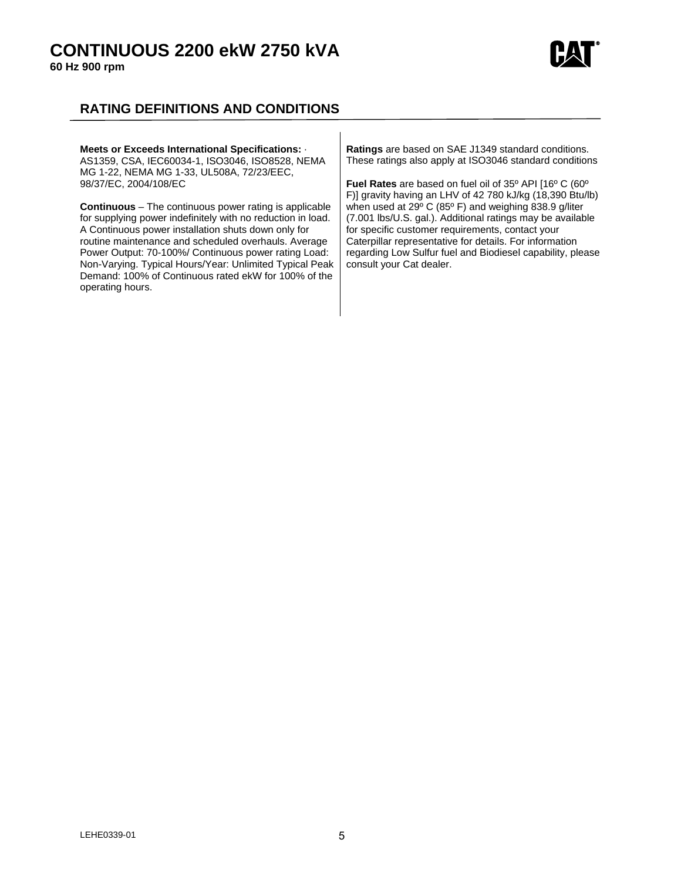# **CONTINUOUS 2200 ekW 2750 kVA**

**60 Hz 900 rpm** 



# **RATING DEFINITIONS AND CONDITIONS**

| Meets or Exceeds International Specifications: .                                                                                                                                                                                                                                                                                                                                                                                           | <b>Ratings</b> are based on SAE J1349 standard conditions.                                                                                                                                                                                                                                                                   |
|--------------------------------------------------------------------------------------------------------------------------------------------------------------------------------------------------------------------------------------------------------------------------------------------------------------------------------------------------------------------------------------------------------------------------------------------|------------------------------------------------------------------------------------------------------------------------------------------------------------------------------------------------------------------------------------------------------------------------------------------------------------------------------|
| AS1359, CSA, IEC60034-1, ISO3046, ISO8528, NEMA                                                                                                                                                                                                                                                                                                                                                                                            | These ratings also apply at ISO3046 standard conditions                                                                                                                                                                                                                                                                      |
| MG 1-22, NEMA MG 1-33, UL508A, 72/23/EEC,                                                                                                                                                                                                                                                                                                                                                                                                  | Fuel Rates are based on fuel oil of 35° API [16° C (60°                                                                                                                                                                                                                                                                      |
| 98/37/EC, 2004/108/EC                                                                                                                                                                                                                                                                                                                                                                                                                      | F)] gravity having an LHV of 42 780 kJ/kg (18,390 Btu/lb)                                                                                                                                                                                                                                                                    |
| <b>Continuous</b> – The continuous power rating is applicable<br>for supplying power indefinitely with no reduction in load.<br>A Continuous power installation shuts down only for<br>routine maintenance and scheduled overhauls. Average<br>Power Output: 70-100%/ Continuous power rating Load:<br>Non-Varying. Typical Hours/Year: Unlimited Typical Peak<br>Demand: 100% of Continuous rated ekW for 100% of the<br>operating hours. | when used at 29° C (85° F) and weighing 838.9 g/liter<br>(7.001 lbs/U.S. gal.). Additional ratings may be available<br>for specific customer requirements, contact your<br>Caterpillar representative for details. For information<br>regarding Low Sulfur fuel and Biodiesel capability, please<br>consult your Cat dealer. |